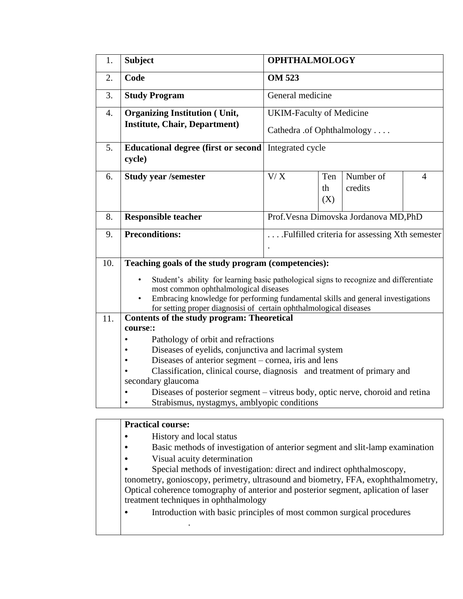| 1.  | <b>Subject</b>                                                                                                                                                                                                                                                                                                                                                | <b>OPHTHALMOLOGY</b>                   |                  |                                               |                |  |
|-----|---------------------------------------------------------------------------------------------------------------------------------------------------------------------------------------------------------------------------------------------------------------------------------------------------------------------------------------------------------------|----------------------------------------|------------------|-----------------------------------------------|----------------|--|
| 2.  | Code                                                                                                                                                                                                                                                                                                                                                          | <b>OM 523</b>                          |                  |                                               |                |  |
| 3.  | <b>Study Program</b>                                                                                                                                                                                                                                                                                                                                          | General medicine                       |                  |                                               |                |  |
| 4.  | <b>Organizing Institution (Unit,</b>                                                                                                                                                                                                                                                                                                                          | <b>UKIM-Faculty of Medicine</b>        |                  |                                               |                |  |
|     | <b>Institute, Chair, Department)</b>                                                                                                                                                                                                                                                                                                                          | Cathedra .of Ophthalmology             |                  |                                               |                |  |
| 5.  | <b>Educational degree (first or second)</b><br>cycle)                                                                                                                                                                                                                                                                                                         | Integrated cycle                       |                  |                                               |                |  |
| 6.  | <b>Study year /semester</b>                                                                                                                                                                                                                                                                                                                                   | V/X                                    | Ten<br>th<br>(X) | Number of<br>credits                          | $\overline{4}$ |  |
| 8.  | <b>Responsible teacher</b>                                                                                                                                                                                                                                                                                                                                    | Prof. Vesna Dimovska Jordanova MD, PhD |                  |                                               |                |  |
| 9.  | <b>Preconditions:</b>                                                                                                                                                                                                                                                                                                                                         |                                        |                  | Fulfilled criteria for assessing Xth semester |                |  |
| 10. | Teaching goals of the study program (competencies):<br>Student's ability for learning basic pathological signs to recognize and differentiate<br>most common ophthalmological diseases<br>Embracing knowledge for performing fundamental skills and general investigations<br>$\bullet$<br>for setting proper diagnosisi of certain ophthalmological diseases |                                        |                  |                                               |                |  |
| 11. | <b>Contents of the study program: Theoretical</b><br>course::<br>Pathology of orbit and refractions<br>$\bullet$<br>Diseases of eyelids, conjunctiva and lacrimal system<br>Diseases of anterior segment – cornea, iris and lens<br>$\bullet$<br>Classification, clinical course, diagnosis and treatment of primary and                                      |                                        |                  |                                               |                |  |
|     | secondary glaucoma<br>Diseases of posterior segment – vitreus body, optic nerve, choroid and retina<br>Strabismus, nystagmys, amblyopic conditions                                                                                                                                                                                                            |                                        |                  |                                               |                |  |

## **Practical course:**

.

- **•** History and local status
- **•** Basic methods of investigation of anterior segment and slit-lamp examination
- Visual acuity determination<br>• Special methods of investigation
- **•** Special methods of investigation: direct and indirect ophthalmoscopy,

tonometry, gonioscopy, perimetry, ultrasound and biometry, FFA, exophthalmometry, Optical coherence tomography of anterior and posterior segment, aplication of laser treatment techniques in ophthalmology

**•** Introduction with basic principles of most common surgical procedures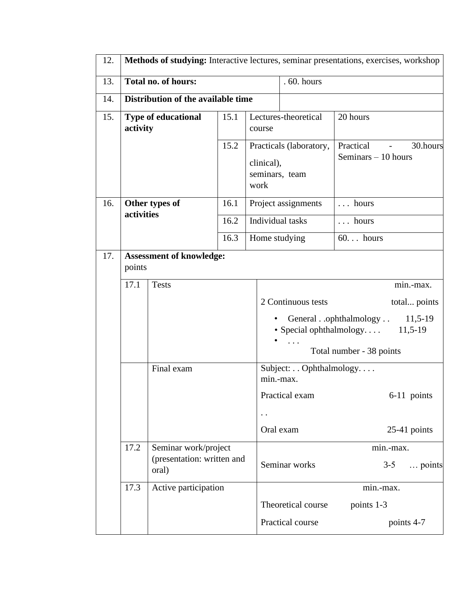| 12. |                                           | Methods of studying: Interactive lectures, seminar presentations, exercises, workshop |      |                                                                 |                                                                                        |                                               |  |
|-----|-------------------------------------------|---------------------------------------------------------------------------------------|------|-----------------------------------------------------------------|----------------------------------------------------------------------------------------|-----------------------------------------------|--|
| 13. | <b>Total no. of hours:</b>                |                                                                                       |      |                                                                 | . 60. hours                                                                            |                                               |  |
| 14. |                                           | Distribution of the available time                                                    |      |                                                                 |                                                                                        |                                               |  |
| 15. | <b>Type of educational</b><br>activity    |                                                                                       | 15.1 | course                                                          | Lectures-theoretical                                                                   | 20 hours                                      |  |
|     |                                           |                                                                                       | 15.2 | Practicals (laboratory,<br>clinical),<br>seminars, team<br>work |                                                                                        | Practical<br>30.hours<br>Seminars $-10$ hours |  |
| 16. |                                           | Other types of                                                                        | 16.1 |                                                                 | Project assignments                                                                    | $\ldots$ hours                                |  |
|     |                                           | activities                                                                            |      | Individual tasks                                                |                                                                                        | $\ldots$ hours                                |  |
|     |                                           |                                                                                       | 16.3 | Home studying                                                   |                                                                                        | $60$ hours                                    |  |
| 17. | <b>Assessment of knowledge:</b><br>points |                                                                                       |      |                                                                 |                                                                                        |                                               |  |
|     | 17.1<br><b>Tests</b>                      |                                                                                       |      |                                                                 |                                                                                        | min.-max.                                     |  |
|     |                                           |                                                                                       |      |                                                                 | 2 Continuous tests                                                                     | total points                                  |  |
|     |                                           |                                                                                       |      |                                                                 | Generalophthalmology<br>$11,5-19$<br>· Special ophthalmology<br>$11,5-19$<br>$\cdot$ . |                                               |  |
|     |                                           |                                                                                       |      |                                                                 | Total number - 38 points                                                               |                                               |  |
|     |                                           | Final exam                                                                            |      | min.-max.                                                       | Subject: Ophthalmology.                                                                |                                               |  |
|     |                                           |                                                                                       |      |                                                                 | Practical exam                                                                         | 6-11 points                                   |  |
|     |                                           |                                                                                       |      |                                                                 |                                                                                        |                                               |  |
|     |                                           |                                                                                       |      |                                                                 | Oral exam                                                                              | $25-41$ points                                |  |
|     | 17.2                                      | Seminar work/project<br>(presentation: written and<br>oral)                           |      |                                                                 | Seminar works                                                                          | min.-max.<br>$3 - 5$<br>points                |  |
|     | 17.3                                      | Active participation                                                                  |      |                                                                 |                                                                                        | min.-max.                                     |  |
|     |                                           |                                                                                       |      |                                                                 | Theoretical course<br>points 1-3                                                       |                                               |  |
|     |                                           |                                                                                       |      |                                                                 | Practical course                                                                       | points 4-7                                    |  |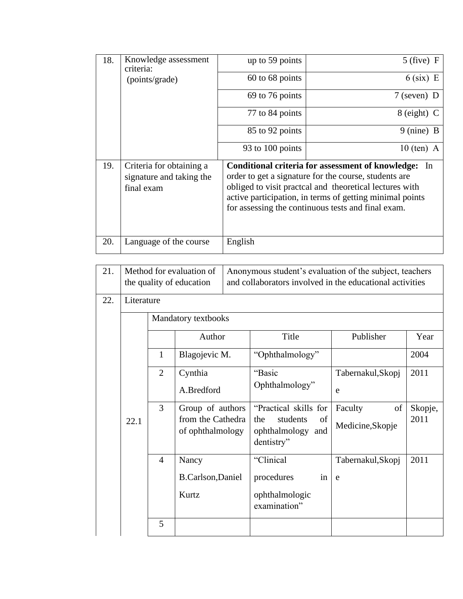| 18. | Knowledge assessment<br>criteria:                                  | up to 59 points                                                                                                                                                                                                                                                                                | $5$ (five) F         |  |  |  |
|-----|--------------------------------------------------------------------|------------------------------------------------------------------------------------------------------------------------------------------------------------------------------------------------------------------------------------------------------------------------------------------------|----------------------|--|--|--|
|     | (points/grade)                                                     | 60 to 68 points                                                                                                                                                                                                                                                                                | $6$ (six) E          |  |  |  |
|     |                                                                    | 69 to 76 points                                                                                                                                                                                                                                                                                | $7$ (seven) D        |  |  |  |
|     |                                                                    | 77 to 84 points                                                                                                                                                                                                                                                                                | 8 (eight) C          |  |  |  |
|     |                                                                    | 85 to 92 points                                                                                                                                                                                                                                                                                | $9 \text{ (nine)} B$ |  |  |  |
|     |                                                                    | 93 to 100 points                                                                                                                                                                                                                                                                               | $10$ (ten) A         |  |  |  |
| 19. | Criteria for obtaining a<br>signature and taking the<br>final exam | Conditional criteria for assessment of knowledge:<br>In<br>order to get a signature for the course, students are<br>obliged to visit practical and theoretical lectures with<br>active participation, in terms of getting minimal points<br>for assessing the continuous tests and final exam. |                      |  |  |  |
| 20. | Language of the course                                             | English                                                                                                                                                                                                                                                                                        |                      |  |  |  |

| 21. | Method for evaluation of<br>the quality of education |                     |                                                           | Anonymous student's evaluation of the subject, teachers<br>and collaborators involved in the educational activities |                                   |                 |  |  |
|-----|------------------------------------------------------|---------------------|-----------------------------------------------------------|---------------------------------------------------------------------------------------------------------------------|-----------------------------------|-----------------|--|--|
| 22. | Literature                                           |                     |                                                           |                                                                                                                     |                                   |                 |  |  |
|     |                                                      | Mandatory textbooks |                                                           |                                                                                                                     |                                   |                 |  |  |
|     | 22.1                                                 |                     | Author                                                    | Title                                                                                                               | Publisher                         | Year            |  |  |
|     |                                                      | $\mathbf{1}$        | Blagojevic M.                                             | "Ophthalmology"                                                                                                     |                                   | 2004            |  |  |
|     |                                                      | $\overline{2}$      | Cynthia<br>A.Bredford                                     | "Basic<br>Ophthalmology"                                                                                            | Tabernakul, Skopj<br>e            | 2011            |  |  |
|     |                                                      | 3                   | Group of authors<br>from the Cathedra<br>of ophthalmology | "Practical skills for<br>students<br>the<br>of<br>ophthalmology<br>and<br>dentistry"                                | Faculty<br>of<br>Medicine, Skopje | Skopje,<br>2011 |  |  |
|     |                                                      | $\overline{4}$      | Nancy<br><b>B.Carlson, Daniel</b><br>Kurtz                | "Clinical<br>procedures<br>in<br>ophthalmologic<br>examination"                                                     | Tabernakul, Skopj<br>e            | 2011            |  |  |
|     |                                                      | 5                   |                                                           |                                                                                                                     |                                   |                 |  |  |